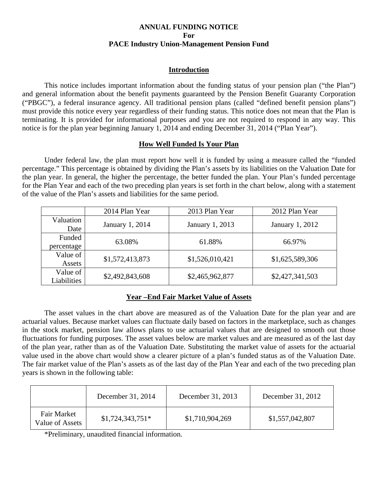# **ANNUAL FUNDING NOTICE For PACE Industry Union-Management Pension Fund**

# **Introduction**

This notice includes important information about the funding status of your pension plan ("the Plan") and general information about the benefit payments guaranteed by the Pension Benefit Guaranty Corporation ("PBGC"), a federal insurance agency. All traditional pension plans (called "defined benefit pension plans") must provide this notice every year regardless of their funding status. This notice does not mean that the Plan is terminating. It is provided for informational purposes and you are not required to respond in any way. This notice is for the plan year beginning January 1, 2014 and ending December 31, 2014 ("Plan Year").

## **How Well Funded Is Your Plan**

Under federal law, the plan must report how well it is funded by using a measure called the "funded percentage." This percentage is obtained by dividing the Plan's assets by its liabilities on the Valuation Date for the plan year. In general, the higher the percentage, the better funded the plan. Your Plan's funded percentage for the Plan Year and each of the two preceding plan years is set forth in the chart below, along with a statement of the value of the Plan's assets and liabilities for the same period.

|                         | 2014 Plan Year  | 2013 Plan Year  | 2012 Plan Year         |
|-------------------------|-----------------|-----------------|------------------------|
| Valuation<br>Date       | January 1, 2014 | January 1, 2013 | <b>January 1, 2012</b> |
| Funded<br>percentage    | 63.08%          | 61.88%          | 66.97%                 |
| Value of<br>Assets      | \$1,572,413,873 | \$1,526,010,421 | \$1,625,589,306        |
| Value of<br>Liabilities | \$2,492,843,608 | \$2,465,962,877 | \$2,427,341,503        |

# **Year –End Fair Market Value of Assets**

The asset values in the chart above are measured as of the Valuation Date for the plan year and are actuarial values. Because market values can fluctuate daily based on factors in the marketplace, such as changes in the stock market, pension law allows plans to use actuarial values that are designed to smooth out those fluctuations for funding purposes. The asset values below are market values and are measured as of the last day of the plan year, rather than as of the Valuation Date. Substituting the market value of assets for the actuarial value used in the above chart would show a clearer picture of a plan's funded status as of the Valuation Date. The fair market value of the Plan's assets as of the last day of the Plan Year and each of the two preceding plan years is shown in the following table:

|                                       | December 31, 2014 | December 31, 2013 | December 31, 2012 |
|---------------------------------------|-------------------|-------------------|-------------------|
| <b>Fair Market</b><br>Value of Assets | $$1,724,343,751*$ | \$1,710,904,269   | \$1,557,042,807   |

\*Preliminary, unaudited financial information.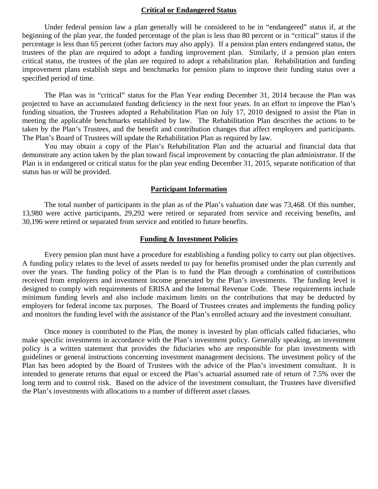### **Critical or Endangered Status**

Under federal pension law a plan generally will be considered to be in "endangered" status if, at the beginning of the plan year, the funded percentage of the plan is less than 80 percent or in "critical" status if the percentage is less than 65 percent (other factors may also apply). If a pension plan enters endangered status, the trustees of the plan are required to adopt a funding improvement plan. Similarly, if a pension plan enters critical status, the trustees of the plan are required to adopt a rehabilitation plan. Rehabilitation and funding improvement plans establish steps and benchmarks for pension plans to improve their funding status over a specified period of time.

The Plan was in "critical" status for the Plan Year ending December 31, 2014 because the Plan was projected to have an accumulated funding deficiency in the next four years. In an effort to improve the Plan's funding situation, the Trustees adopted a Rehabilitation Plan on July 17, 2010 designed to assist the Plan in meeting the applicable benchmarks established by law. The Rehabilitation Plan describes the actions to be taken by the Plan's Trustees, and the benefit and contribution changes that affect employers and participants. The Plan's Board of Trustees will update the Rehabilitation Plan as required by law.

 You may obtain a copy of the Plan's Rehabilitation Plan and the actuarial and financial data that demonstrate any action taken by the plan toward fiscal improvement by contacting the plan administrator. If the Plan is in endangered or critical status for the plan year ending December 31, 2015, separate notification of that status has or will be provided.

#### **Participant Information**

The total number of participants in the plan as of the Plan's valuation date was 73,468. Of this number, 13,980 were active participants, 29,292 were retired or separated from service and receiving benefits, and 30,196 were retired or separated from service and entitled to future benefits.

#### **Funding & Investment Policies**

Every pension plan must have a procedure for establishing a funding policy to carry out plan objectives. A funding policy relates to the level of assets needed to pay for benefits promised under the plan currently and over the years. The funding policy of the Plan is to fund the Plan through a combination of contributions received from employers and investment income generated by the Plan's investments. The funding level is designed to comply with requirements of ERISA and the Internal Revenue Code. These requirements include minimum funding levels and also include maximum limits on the contributions that may be deducted by employers for federal income tax purposes. The Board of Trustees creates and implements the funding policy and monitors the funding level with the assistance of the Plan's enrolled actuary and the investment consultant.

Once money is contributed to the Plan, the money is invested by plan officials called fiduciaries, who make specific investments in accordance with the Plan's investment policy. Generally speaking, an investment policy is a written statement that provides the fiduciaries who are responsible for plan investments with guidelines or general instructions concerning investment management decisions. The investment policy of the Plan has been adopted by the Board of Trustees with the advice of the Plan's investment consultant. It is intended to generate returns that equal or exceed the Plan's actuarial assumed rate of return of 7.5% over the long term and to control risk. Based on the advice of the investment consultant, the Trustees have diversified the Plan's investments with allocations to a number of different asset classes.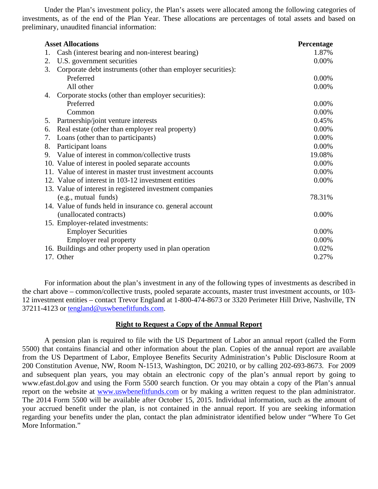Under the Plan's investment policy, the Plan's assets were allocated among the following categories of investments, as of the end of the Plan Year. These allocations are percentages of total assets and based on preliminary, unaudited financial information:

| <b>Asset Allocations</b>                                           | Percentage |
|--------------------------------------------------------------------|------------|
| Cash (interest bearing and non-interest bearing)<br>1.             | 1.87%      |
| U.S. government securities<br>2.                                   | 0.00%      |
| Corporate debt instruments (other than employer securities):<br>3. |            |
| Preferred                                                          | $0.00\%$   |
| All other                                                          | 0.00%      |
| Corporate stocks (other than employer securities):<br>4.           |            |
| Preferred                                                          | 0.00%      |
| Common                                                             | 0.00%      |
| Partnership/joint venture interests<br>5.                          | 0.45%      |
| Real estate (other than employer real property)<br>6.              | 0.00%      |
| Loans (other than to participants)<br>7.                           | 0.00%      |
| Participant loans<br>8.                                            | 0.00%      |
| Value of interest in common/collective trusts<br>9.                | 19.08%     |
| 10. Value of interest in pooled separate accounts                  | 0.00%      |
| 11. Value of interest in master trust investment accounts          | 0.00%      |
| 12. Value of interest in 103-12 investment entities                | 0.00%      |
| 13. Value of interest in registered investment companies           |            |
| (e.g., mutual funds)                                               | 78.31%     |
| 14. Value of funds held in insurance co. general account           |            |
| (unallocated contracts)                                            | 0.00%      |
| 15. Employer-related investments:                                  |            |
| <b>Employer Securities</b>                                         | 0.00%      |
| Employer real property                                             | 0.00%      |
| 16. Buildings and other property used in plan operation            | 0.02%      |
| 17. Other                                                          | 0.27%      |

For information about the plan's investment in any of the following types of investments as described in the chart above – common/collective trusts, pooled separate accounts, master trust investment accounts, or 103- 12 investment entities – contact Trevor England at 1-800-474-8673 or 3320 Perimeter Hill Drive, Nashville, TN 37211-4123 or tengland@uswbenefitfunds.com.

## **Right to Request a Copy of the Annual Report**

A pension plan is required to file with the US Department of Labor an annual report (called the Form 5500) that contains financial and other information about the plan. Copies of the annual report are available from the US Department of Labor, Employee Benefits Security Administration's Public Disclosure Room at 200 Constitution Avenue, NW, Room N-1513, Washington, DC 20210, or by calling 202-693-8673. For 2009 and subsequent plan years, you may obtain an electronic copy of the plan's annual report by going to www.efast.dol.gov and using the Form 5500 search function. Or you may obtain a copy of the Plan's annual report on the website at www.uswbenefitfunds.com or by making a written request to the plan administrator. The 2014 Form 5500 will be available after October 15, 2015. Individual information, such as the amount of your accrued benefit under the plan, is not contained in the annual report. If you are seeking information regarding your benefits under the plan, contact the plan administrator identified below under "Where To Get More Information."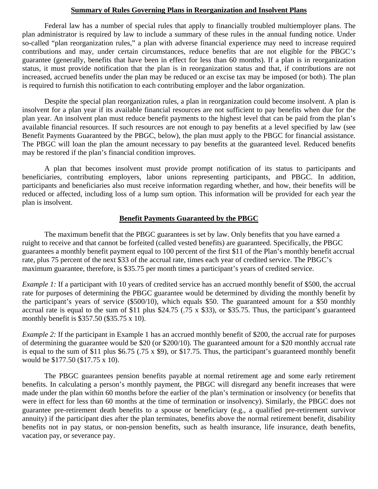#### **Summary of Rules Governing Plans in Reorganization and Insolvent Plans**

Federal law has a number of special rules that apply to financially troubled multiemployer plans. The plan administrator is required by law to include a summary of these rules in the annual funding notice. Under so-called "plan reorganization rules," a plan with adverse financial experience may need to increase required contributions and may, under certain circumstances, reduce benefits that are not eligible for the PBGC's guarantee (generally, benefits that have been in effect for less than 60 months). If a plan is in reorganization status, it must provide notification that the plan is in reorganization status and that, if contributions are not increased, accrued benefits under the plan may be reduced or an excise tax may be imposed (or both). The plan is required to furnish this notification to each contributing employer and the labor organization.

Despite the special plan reorganization rules, a plan in reorganization could become insolvent. A plan is insolvent for a plan year if its available financial resources are not sufficient to pay benefits when due for the plan year. An insolvent plan must reduce benefit payments to the highest level that can be paid from the plan's available financial resources. If such resources are not enough to pay benefits at a level specified by law (see Benefit Payments Guaranteed by the PBGC, below), the plan must apply to the PBGC for financial assistance. The PBGC will loan the plan the amount necessary to pay benefits at the guaranteed level. Reduced benefits may be restored if the plan's financial condition improves.

A plan that becomes insolvent must provide prompt notification of its status to participants and beneficiaries, contributing employers, labor unions representing participants, and PBGC. In addition, participants and beneficiaries also must receive information regarding whether, and how, their benefits will be reduced or affected, including loss of a lump sum option. This information will be provided for each year the plan is insolvent.

### **Benefit Payments Guaranteed by the PBGC**

The maximum benefit that the PBGC guarantees is set by law. Only benefits that you have earned a ruight to receive and that cannot be forfeited (called vested benefits) are guaranteed. Specifically, the PBGC guarantees a monthly benefit payment equal to 100 percent of the first \$11 of the Plan's monthly benefit accrual rate, plus 75 percent of the next \$33 of the accrual rate, times each year of credited service. The PBGC's maximum guarantee, therefore, is \$35.75 per month times a participant's years of credited service.

*Example 1:* If a participant with 10 years of credited service has an accrued monthly benefit of \$500, the accrual rate for purposes of determining the PBGC guarantee would be determined by dividing the monthly benefit by the participant's years of service (\$500/10), which equals \$50. The guaranteed amount for a \$50 monthly accrual rate is equal to the sum of \$11 plus \$24.75 (.75 x \$33), or \$35.75. Thus, the participant's guaranteed monthly benefit is \$357.50 (\$35.75 x 10).

*Example 2:* If the participant in Example 1 has an accrued monthly benefit of \$200, the accrual rate for purposes of determining the guarantee would be \$20 (or \$200/10). The guaranteed amount for a \$20 monthly accrual rate is equal to the sum of \$11 plus \$6.75 (.75 x \$9), or \$17.75. Thus, the participant's guaranteed monthly benefit would be \$177.50 (\$17.75 x 10).

The PBGC guarantees pension benefits payable at normal retirement age and some early retirement benefits. In calculating a person's monthly payment, the PBGC will disregard any benefit increases that were made under the plan within 60 months before the earlier of the plan's termination or insolvency (or benefits that were in effect for less than 60 months at the time of termination or insolvency). Similarly, the PBGC does not guarantee pre-retirement death benefits to a spouse or beneficiary (e.g., a qualified pre-retirement survivor annuity) if the participant dies after the plan terminates, benefits above the normal retirement benefit, disability benefits not in pay status, or non-pension benefits, such as health insurance, life insurance, death benefits, vacation pay, or severance pay.